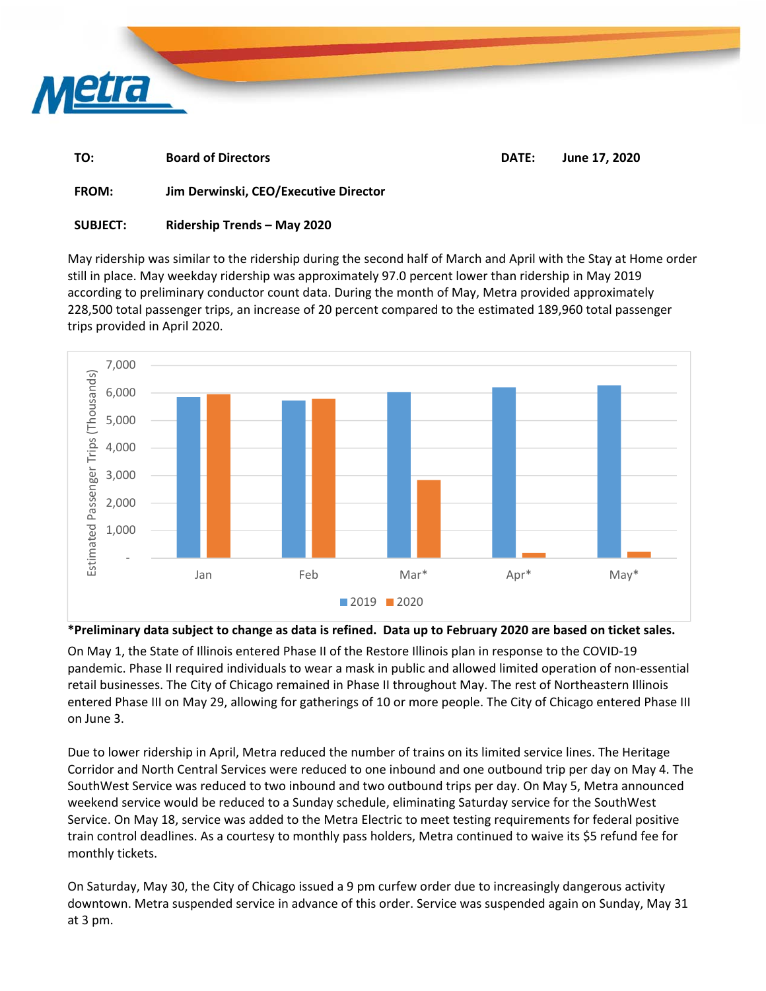

| TO: | <b>Board of Directors</b> | DATE: June 17, 2020 |  |
|-----|---------------------------|---------------------|--|
|     |                           |                     |  |

**FROM: Jim Derwinski, CEO/Executive Director** 

## **SUBJECT: Ridership Trends – May 2020**

May ridership was similar to the ridership during the second half of March and April with the Stay at Home order still in place. May weekday ridership was approximately 97.0 percent lower than ridership in May 2019 according to preliminary conductor count data. During the month of May, Metra provided approximately 228,500 total passenger trips, an increase of 20 percent compared to the estimated 189,960 total passenger trips provided in April 2020.



## **\*Preliminary data subject to change as data is refined. Data up to February 2020 are based on ticket sales.**

On May 1, the State of Illinois entered Phase II of the Restore Illinois plan in response to the COVID‐19 pandemic. Phase II required individuals to wear a mask in public and allowed limited operation of non‐essential retail businesses. The City of Chicago remained in Phase II throughout May. The rest of Northeastern Illinois entered Phase III on May 29, allowing for gatherings of 10 or more people. The City of Chicago entered Phase III on June 3.

Due to lower ridership in April, Metra reduced the number of trains on its limited service lines. The Heritage Corridor and North Central Services were reduced to one inbound and one outbound trip per day on May 4. The SouthWest Service was reduced to two inbound and two outbound trips per day. On May 5, Metra announced weekend service would be reduced to a Sunday schedule, eliminating Saturday service for the SouthWest Service. On May 18, service was added to the Metra Electric to meet testing requirements for federal positive train control deadlines. As a courtesy to monthly pass holders, Metra continued to waive its \$5 refund fee for monthly tickets.

On Saturday, May 30, the City of Chicago issued a 9 pm curfew order due to increasingly dangerous activity downtown. Metra suspended service in advance of this order. Service was suspended again on Sunday, May 31 at 3 pm.